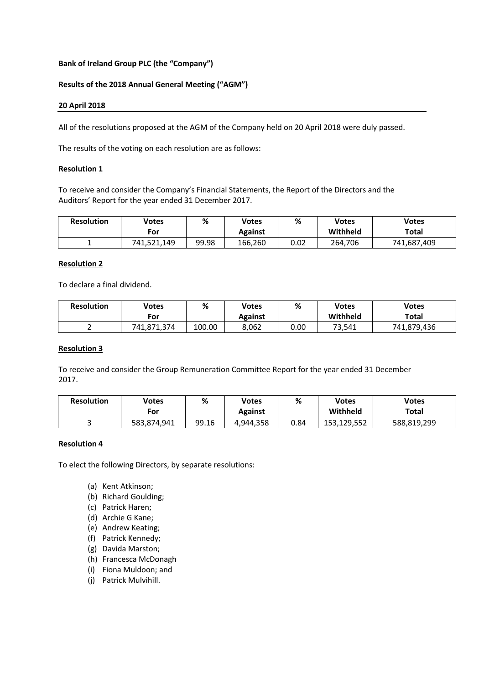# **Bank of Ireland Group PLC (the "Company")**

# **Results of the 2018 Annual General Meeting ("AGM")**

### **20 April 2018**

All of the resolutions proposed at the AGM of the Company held on 20 April 2018 were duly passed.

The results of the voting on each resolution are as follows:

### **Resolution 1**

To receive and consider the Company's Financial Statements, the Report of the Directors and the Auditors' Report for the year ended 31 December 2017.

| <b>Resolution</b> | Votes       | %     | Votes   | %    | Votes    | <b>Votes</b> |
|-------------------|-------------|-------|---------|------|----------|--------------|
|                   | For         |       | Against |      | Withheld | Total        |
|                   | 741,521,149 | 99.98 | 166,260 | 0.02 | 264.706  | 741,687,409  |

## **Resolution 2**

To declare a final dividend.

| <b>Resolution</b> | Votes       | %      | Votes   | %    | Votes    | <b>Votes</b> |
|-------------------|-------------|--------|---------|------|----------|--------------|
|                   | For         |        | Against |      | Withheld | Total        |
|                   | 741,871,374 | 100.00 | 8,062   | 0.00 | 73,541   | 741,879,436  |

# **Resolution 3**

To receive and consider the Group Remuneration Committee Report for the year ended 31 December 2017.

| <b>Resolution</b> | Votes<br>For | %     | Votes<br>Against | %    | <b>Votes</b><br>Withheld | <b>Votes</b><br>Total |
|-------------------|--------------|-------|------------------|------|--------------------------|-----------------------|
|                   | 583,874,941  | 99.16 | 4,944,358        | 0.84 | 153,129,552              | 588,819,299           |

### **Resolution 4**

To elect the following Directors, by separate resolutions:

- (a) Kent Atkinson;
- (b) Richard Goulding;
- (c) Patrick Haren;
- (d) Archie G Kane;
- (e) Andrew Keating;
- (f) Patrick Kennedy;
- (g) Davida Marston;
- (h) Francesca McDonagh
- (i) Fiona Muldoon; and
- (j) Patrick Mulvihill.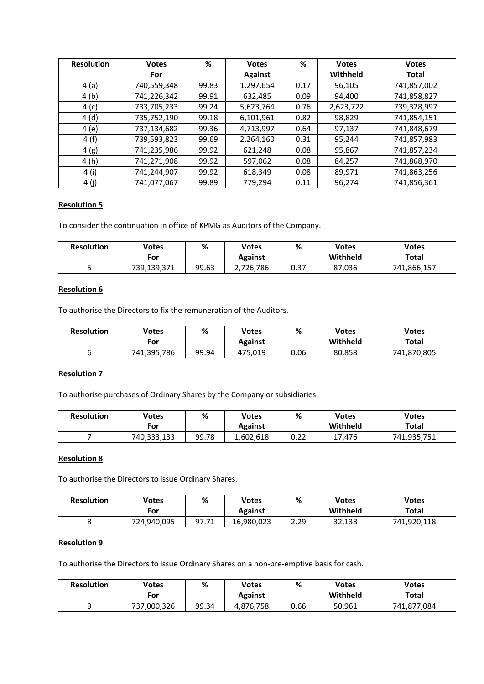| <b>Resolution</b> | <b>Votes</b> | %     | <b>Votes</b>   | %    | <b>Votes</b> | <b>Votes</b> |
|-------------------|--------------|-------|----------------|------|--------------|--------------|
|                   | For          |       | <b>Against</b> |      | Withheld     | Total        |
| 4(a)              | 740,559,348  | 99.83 | 1,297,654      | 0.17 | 96,105       | 741,857,002  |
| 4(b)              | 741,226,342  | 99.91 | 632,485        | 0.09 | 94,400       | 741,858,827  |
| 4(c)              | 733,705,233  | 99.24 | 5,623,764      | 0.76 | 2,623,722    | 739,328,997  |
| 4(d)              | 735,752,190  | 99.18 | 6,101,961      | 0.82 | 98,829       | 741,854,151  |
| 4(e)              | 737,134,682  | 99.36 | 4,713,997      | 0.64 | 97,137       | 741,848,679  |
| 4(f)              | 739,593,823  | 99.69 | 2,264,160      | 0.31 | 95,244       | 741,857,983  |
| 4(g)              | 741,235,986  | 99.92 | 621,248        | 0.08 | 95,867       | 741,857,234  |
| 4 (h)             | 741,271,908  | 99.92 | 597,062        | 0.08 | 84,257       | 741,868,970  |
| 4 (i)             | 741,244,907  | 99.92 | 618,349        | 0.08 | 89,971       | 741,863,256  |
| 4(j)              | 741,077,067  | 99.89 | 779,294        | 0.11 | 96,274       | 741,856,361  |

# **Resolution 5**

To consider the continuation in office of KPMG as Auditors of the Company.

| <b>Resolution</b> | Votes<br>For | %     | Votes<br><b>Against</b> | %            | Votes<br>Withheld | <b>Votes</b><br>Total |
|-------------------|--------------|-------|-------------------------|--------------|-------------------|-----------------------|
|                   | 739,139,371  | 99.63 | ,726,786                | ר פח<br>U.J. | 87,036            | 741,866,157           |

# **Resolution 6**

To authorise the Directors to fix the remuneration of the Auditors.

| <b>Resolution</b> | <b>Votes</b><br>For | %     | Votes<br><b>Against</b> | %    | <b>Votes</b><br>Withheld | <b>Votes</b><br>Total |
|-------------------|---------------------|-------|-------------------------|------|--------------------------|-----------------------|
|                   | 741,395,786         | 99.94 | 475,019                 | 0.06 | 80,858                   | 741,870,805           |

# **Resolution 7**

To authorise purchases of Ordinary Shares by the Company or subsidiaries.

| <b>Resolution</b> | Votes<br>For | %     | Votes<br><b>Against</b> | %    | <b>Votes</b><br>Withheld | <b>Votes</b><br>Total |
|-------------------|--------------|-------|-------------------------|------|--------------------------|-----------------------|
|                   | 740,333,133  | 99.78 | 1,602,618               | 0.22 | 17,476                   | 741,935,751           |

## **Resolution 8**

To authorise the Directors to issue Ordinary Shares.

| <b>Resolution</b> | Votes<br>For | %     | Votes<br>Against | ℅    | <b>Votes</b><br>Withheld | <b>Votes</b><br>Total |
|-------------------|--------------|-------|------------------|------|--------------------------|-----------------------|
|                   | 724,940,095  | 97.71 | 16,980,023       | 2.29 | 32,138                   | 741,920,118           |

### **Resolution 9**

To authorise the Directors to issue Ordinary Shares on a non-pre-emptive basis for cash.

| <b>Resolution</b> | Votes<br>For | %     | Votes<br><b>Against</b> | %    | <b>Votes</b><br>Withheld | <b>Votes</b><br>Total |
|-------------------|--------------|-------|-------------------------|------|--------------------------|-----------------------|
|                   | 737,000,326  | 99.34 | 4,876,758               | 0.66 | 50,961                   | 741,877,084           |